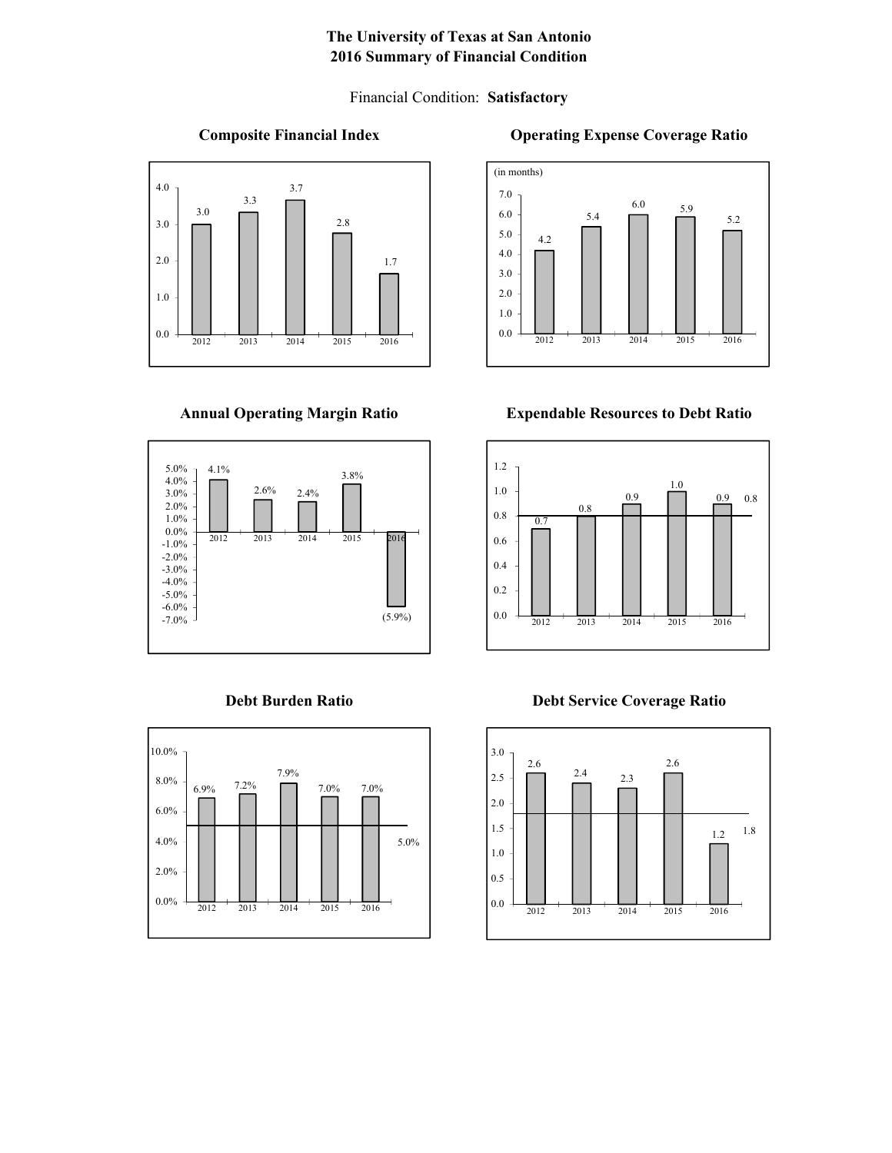# **The University of Texas at San Antonio 2016 Summary of Financial Condition**

Financial Condition: **Satisfactory**

### **Composite Financial Index**



## **Annual Operating Margin Ratio**





### **Operating Expense Coverage Ratio**



### **Expendable Resources to Debt Ratio**



**Debt Burden Ratio Debt Service Coverage Ratio**

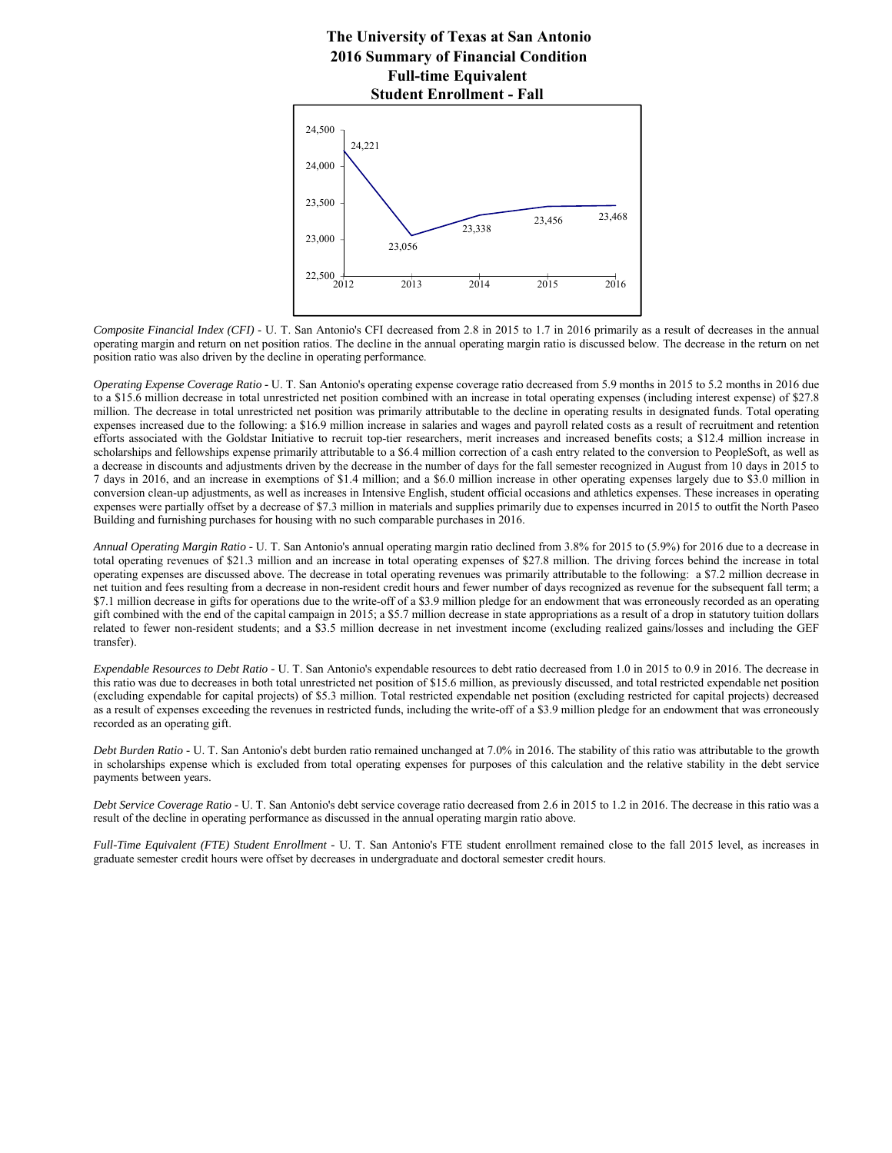# **The University of Texas at San Antonio 2016 Summary of Financial Condition Student Enrollment - Fall Full-time Equivalent**



*Composite Financial Index (CFI)* - U. T. San Antonio's CFI decreased from 2.8 in 2015 to 1.7 in 2016 primarily as a result of decreases in the annual operating margin and return on net position ratios. The decline in the annual operating margin ratio is discussed below. The decrease in the return on net position ratio was also driven by the decline in operating performance.

*Operating Expense Coverage Ratio -* U. T. San Antonio's operating expense coverage ratio decreased from 5.9 months in 2015 to 5.2 months in 2016 due to a \$15.6 million decrease in total unrestricted net position combined with an increase in total operating expenses (including interest expense) of \$27.8 million. The decrease in total unrestricted net position was primarily attributable to the decline in operating results in designated funds. Total operating expenses increased due to the following: a \$16.9 million increase in salaries and wages and payroll related costs as a result of recruitment and retention efforts associated with the Goldstar Initiative to recruit top-tier researchers, merit increases and increased benefits costs; a \$12.4 million increase in scholarships and fellowships expense primarily attributable to a \$6.4 million correction of a cash entry related to the conversion to PeopleSoft, as well as a decrease in discounts and adjustments driven by the decrease in the number of days for the fall semester recognized in August from 10 days in 2015 to 7 days in 2016, and an increase in exemptions of \$1.4 million; and a \$6.0 million increase in other operating expenses largely due to \$3.0 million in conversion clean-up adjustments, as well as increases in Intensive English, student official occasions and athletics expenses. These increases in operating expenses were partially offset by a decrease of \$7.3 million in materials and supplies primarily due to expenses incurred in 2015 to outfit the North Paseo Building and furnishing purchases for housing with no such comparable purchases in 2016.

*Annual Operating Margin Ratio -* U. T. San Antonio's annual operating margin ratio declined from 3.8% for 2015 to (5.9%) for 2016 due to a decrease in total operating revenues of \$21.3 million and an increase in total operating expenses of \$27.8 million. The driving forces behind the increase in total operating expenses are discussed above. The decrease in total operating revenues was primarily attributable to the following: a \$7.2 million decrease in net tuition and fees resulting from a decrease in non-resident credit hours and fewer number of days recognized as revenue for the subsequent fall term; a \$7.1 million decrease in gifts for operations due to the write-off of a \$3.9 million pledge for an endowment that was erroneously recorded as an operating gift combined with the end of the capital campaign in 2015; a \$5.7 million decrease in state appropriations as a result of a drop in statutory tuition dollars related to fewer non-resident students; and a \$3.5 million decrease in net investment income (excluding realized gains/losses and including the GEF transfer).

*Expendable Resources to Debt Ratio -* U. T. San Antonio's expendable resources to debt ratio decreased from 1.0 in 2015 to 0.9 in 2016. The decrease in this ratio was due to decreases in both total unrestricted net position of \$15.6 million, as previously discussed, and total restricted expendable net position (excluding expendable for capital projects) of \$5.3 million. Total restricted expendable net position (excluding restricted for capital projects) decreased as a result of expenses exceeding the revenues in restricted funds, including the write-off of a \$3.9 million pledge for an endowment that was erroneously recorded as an operating gift.

*Debt Burden Ratio -* U. T. San Antonio's debt burden ratio remained unchanged at 7.0% in 2016. The stability of this ratio was attributable to the growth in scholarships expense which is excluded from total operating expenses for purposes of this calculation and the relative stability in the debt service payments between years.

*Debt Service Coverage Ratio -* U. T. San Antonio's debt service coverage ratio decreased from 2.6 in 2015 to 1.2 in 2016. The decrease in this ratio was a result of the decline in operating performance as discussed in the annual operating margin ratio above.

*Full-Time Equivalent (FTE) Student Enrollment -* U. T. San Antonio's FTE student enrollment remained close to the fall 2015 level, as increases in graduate semester credit hours were offset by decreases in undergraduate and doctoral semester credit hours.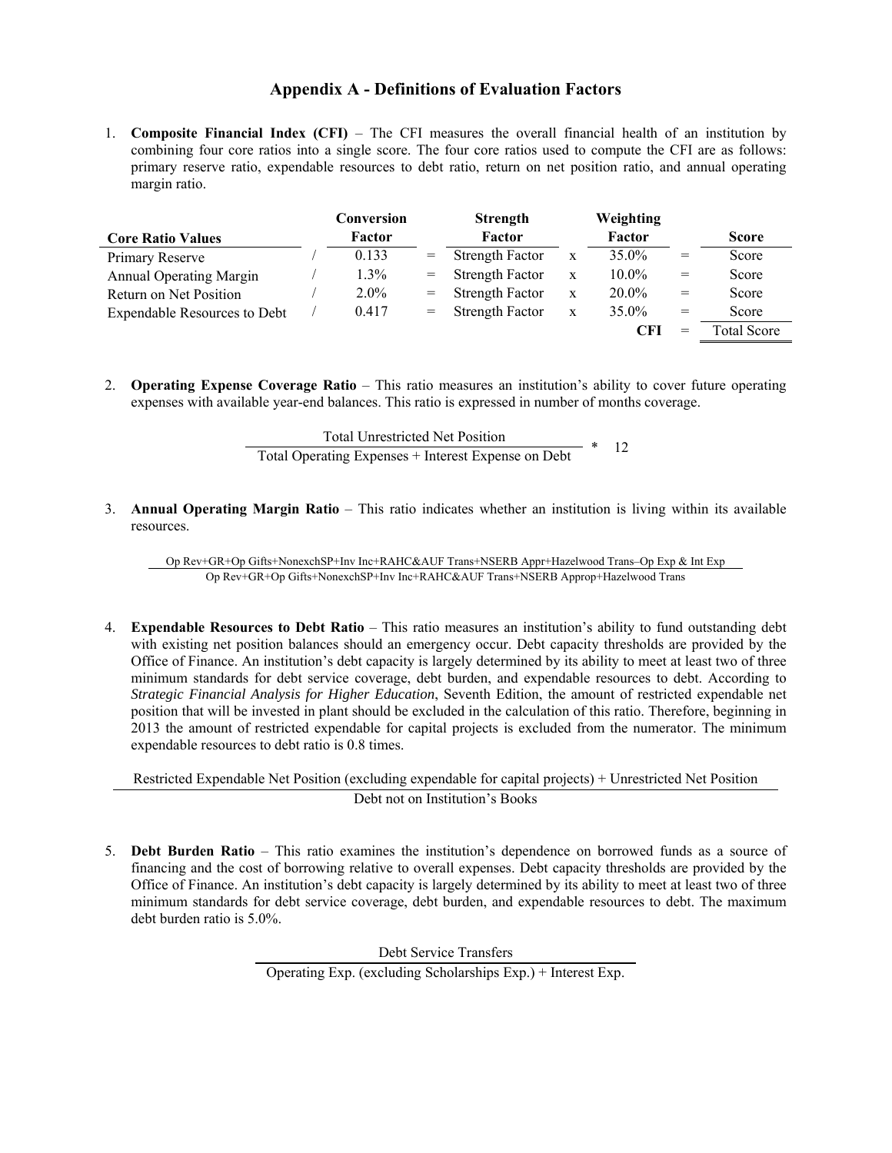# **Appendix A - Definitions of Evaluation Factors**

1. **Composite Financial Index (CFI)** – The CFI measures the overall financial health of an institution by combining four core ratios into a single score. The four core ratios used to compute the CFI are as follows: primary reserve ratio, expendable resources to debt ratio, return on net position ratio, and annual operating margin ratio.

|                                     | Conversion |     | <b>Strength</b>        |             | Weighting |     |                    |
|-------------------------------------|------------|-----|------------------------|-------------|-----------|-----|--------------------|
| <b>Core Ratio Values</b>            | Factor     |     | Factor                 |             | Factor    |     | <b>Score</b>       |
| Primary Reserve                     | 0.133      | $=$ | <b>Strength Factor</b> | X           | 35.0%     | $=$ | Score              |
| <b>Annual Operating Margin</b>      | $1.3\%$    | $=$ | <b>Strength Factor</b> | X           | $10.0\%$  | $=$ | Score              |
| Return on Net Position              | $2.0\%$    | $=$ | <b>Strength Factor</b> | X           | $20.0\%$  | $=$ | Score              |
| <b>Expendable Resources to Debt</b> | 0.417      | $=$ | <b>Strength Factor</b> | $\mathbf x$ | $35.0\%$  | $=$ | Score              |
|                                     |            |     |                        |             |           | $=$ | <b>Total Score</b> |

2. **Operating Expense Coverage Ratio** – This ratio measures an institution's ability to cover future operating expenses with available year-end balances. This ratio is expressed in number of months coverage.

> Total Unrestricted Net Position Total Operating Expenses + Interest Expense on Debt  $*$  12

3. **Annual Operating Margin Ratio** – This ratio indicates whether an institution is living within its available resources.

Op Rev+GR+Op Gifts+NonexchSP+Inv Inc+RAHC&AUF Trans+NSERB Appr+Hazelwood Trans–Op Exp & Int Exp Op Rev+GR+Op Gifts+NonexchSP+Inv Inc+RAHC&AUF Trans+NSERB Approp+Hazelwood Trans

4. **Expendable Resources to Debt Ratio** – This ratio measures an institution's ability to fund outstanding debt with existing net position balances should an emergency occur. Debt capacity thresholds are provided by the Office of Finance. An institution's debt capacity is largely determined by its ability to meet at least two of three minimum standards for debt service coverage, debt burden, and expendable resources to debt. According to *Strategic Financial Analysis for Higher Education*, Seventh Edition, the amount of restricted expendable net position that will be invested in plant should be excluded in the calculation of this ratio. Therefore, beginning in 2013 the amount of restricted expendable for capital projects is excluded from the numerator. The minimum expendable resources to debt ratio is 0.8 times.

Restricted Expendable Net Position (excluding expendable for capital projects) + Unrestricted Net Position Debt not on Institution's Books

5. **Debt Burden Ratio** – This ratio examines the institution's dependence on borrowed funds as a source of financing and the cost of borrowing relative to overall expenses. Debt capacity thresholds are provided by the Office of Finance. An institution's debt capacity is largely determined by its ability to meet at least two of three minimum standards for debt service coverage, debt burden, and expendable resources to debt. The maximum debt burden ratio is 5.0%.

Debt Service Transfers

Operating Exp. (excluding Scholarships Exp.) + Interest Exp.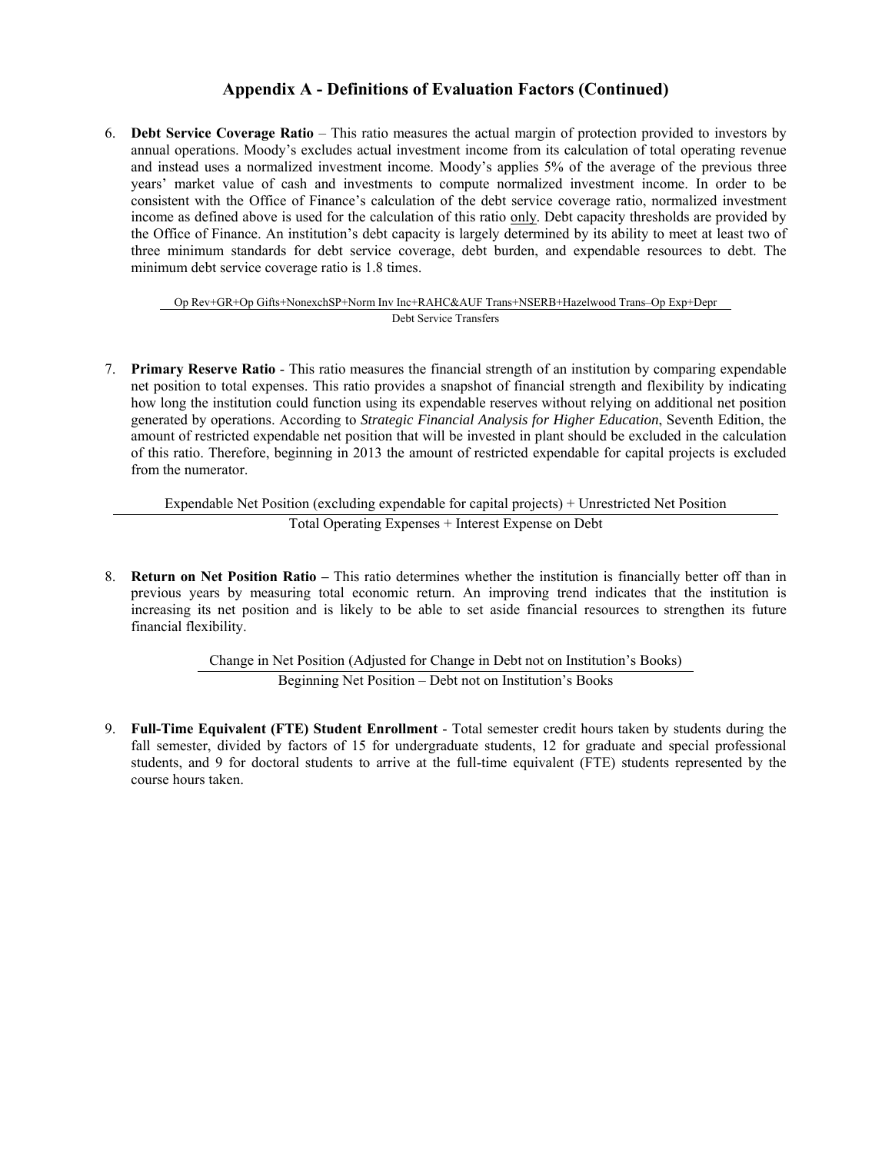# **Appendix A - Definitions of Evaluation Factors (Continued)**

6. **Debt Service Coverage Ratio** – This ratio measures the actual margin of protection provided to investors by annual operations. Moody's excludes actual investment income from its calculation of total operating revenue and instead uses a normalized investment income. Moody's applies 5% of the average of the previous three years' market value of cash and investments to compute normalized investment income. In order to be consistent with the Office of Finance's calculation of the debt service coverage ratio, normalized investment income as defined above is used for the calculation of this ratio only. Debt capacity thresholds are provided by the Office of Finance. An institution's debt capacity is largely determined by its ability to meet at least two of three minimum standards for debt service coverage, debt burden, and expendable resources to debt. The minimum debt service coverage ratio is 1.8 times.

#### Op Rev+GR+Op Gifts+NonexchSP+Norm Inv Inc+RAHC&AUF Trans+NSERB+Hazelwood Trans–Op Exp+Depr Debt Service Transfers

7. **Primary Reserve Ratio** - This ratio measures the financial strength of an institution by comparing expendable net position to total expenses. This ratio provides a snapshot of financial strength and flexibility by indicating how long the institution could function using its expendable reserves without relying on additional net position generated by operations. According to *Strategic Financial Analysis for Higher Education*, Seventh Edition, the amount of restricted expendable net position that will be invested in plant should be excluded in the calculation of this ratio. Therefore, beginning in 2013 the amount of restricted expendable for capital projects is excluded from the numerator.

Expendable Net Position (excluding expendable for capital projects) + Unrestricted Net Position Total Operating Expenses + Interest Expense on Debt

8. **Return on Net Position Ratio –** This ratio determines whether the institution is financially better off than in previous years by measuring total economic return. An improving trend indicates that the institution is increasing its net position and is likely to be able to set aside financial resources to strengthen its future financial flexibility.

> Change in Net Position (Adjusted for Change in Debt not on Institution's Books) Beginning Net Position – Debt not on Institution's Books

9. **Full-Time Equivalent (FTE) Student Enrollment** - Total semester credit hours taken by students during the fall semester, divided by factors of 15 for undergraduate students, 12 for graduate and special professional students, and 9 for doctoral students to arrive at the full-time equivalent (FTE) students represented by the course hours taken.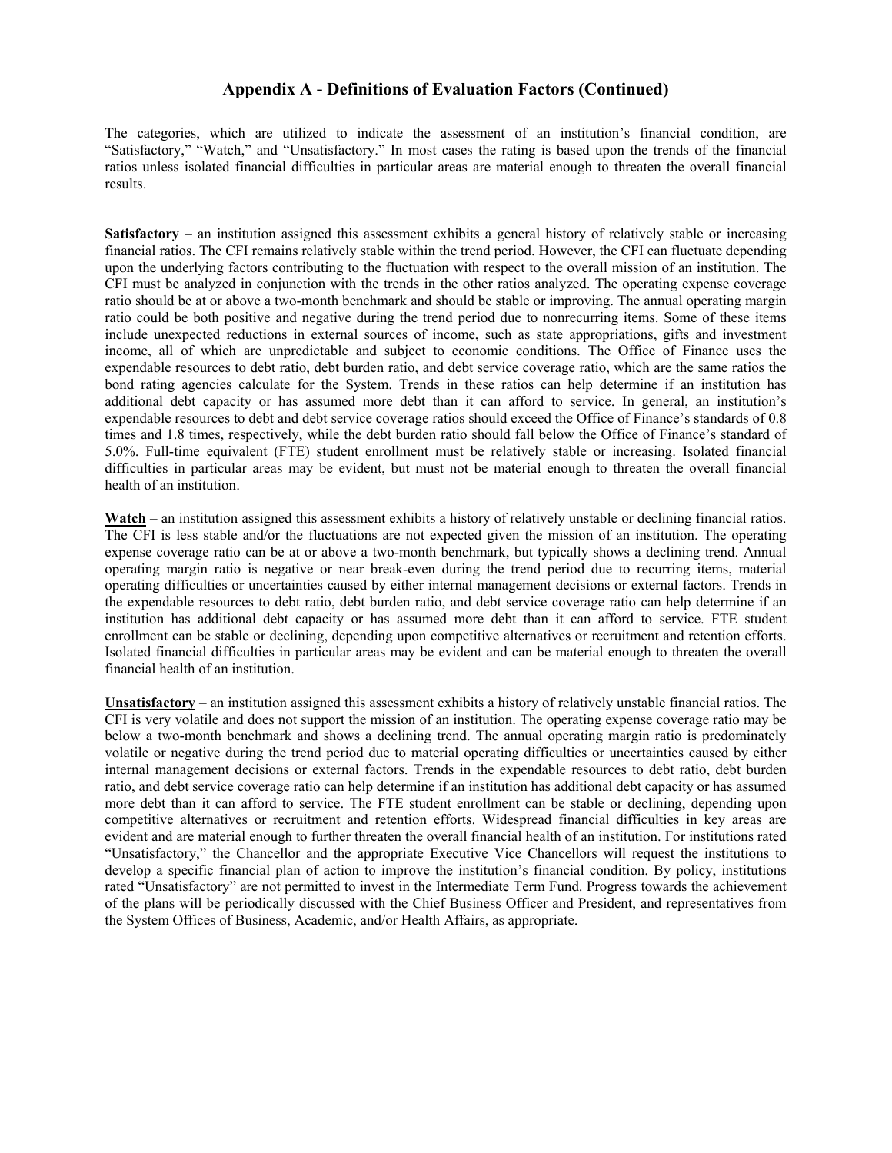#### **Appendix A - Definitions of Evaluation Factors (Continued)**

The categories, which are utilized to indicate the assessment of an institution's financial condition, are "Satisfactory," "Watch," and "Unsatisfactory." In most cases the rating is based upon the trends of the financial ratios unless isolated financial difficulties in particular areas are material enough to threaten the overall financial results.

**Satisfactory** – an institution assigned this assessment exhibits a general history of relatively stable or increasing financial ratios. The CFI remains relatively stable within the trend period. However, the CFI can fluctuate depending upon the underlying factors contributing to the fluctuation with respect to the overall mission of an institution. The CFI must be analyzed in conjunction with the trends in the other ratios analyzed. The operating expense coverage ratio should be at or above a two-month benchmark and should be stable or improving. The annual operating margin ratio could be both positive and negative during the trend period due to nonrecurring items. Some of these items include unexpected reductions in external sources of income, such as state appropriations, gifts and investment income, all of which are unpredictable and subject to economic conditions. The Office of Finance uses the expendable resources to debt ratio, debt burden ratio, and debt service coverage ratio, which are the same ratios the bond rating agencies calculate for the System. Trends in these ratios can help determine if an institution has additional debt capacity or has assumed more debt than it can afford to service. In general, an institution's expendable resources to debt and debt service coverage ratios should exceed the Office of Finance's standards of 0.8 times and 1.8 times, respectively, while the debt burden ratio should fall below the Office of Finance's standard of 5.0%. Full-time equivalent (FTE) student enrollment must be relatively stable or increasing. Isolated financial difficulties in particular areas may be evident, but must not be material enough to threaten the overall financial health of an institution.

**Watch** – an institution assigned this assessment exhibits a history of relatively unstable or declining financial ratios. The CFI is less stable and/or the fluctuations are not expected given the mission of an institution. The operating expense coverage ratio can be at or above a two-month benchmark, but typically shows a declining trend. Annual operating margin ratio is negative or near break-even during the trend period due to recurring items, material operating difficulties or uncertainties caused by either internal management decisions or external factors. Trends in the expendable resources to debt ratio, debt burden ratio, and debt service coverage ratio can help determine if an institution has additional debt capacity or has assumed more debt than it can afford to service. FTE student enrollment can be stable or declining, depending upon competitive alternatives or recruitment and retention efforts. Isolated financial difficulties in particular areas may be evident and can be material enough to threaten the overall financial health of an institution.

**Unsatisfactory** – an institution assigned this assessment exhibits a history of relatively unstable financial ratios. The CFI is very volatile and does not support the mission of an institution. The operating expense coverage ratio may be below a two-month benchmark and shows a declining trend. The annual operating margin ratio is predominately volatile or negative during the trend period due to material operating difficulties or uncertainties caused by either internal management decisions or external factors. Trends in the expendable resources to debt ratio, debt burden ratio, and debt service coverage ratio can help determine if an institution has additional debt capacity or has assumed more debt than it can afford to service. The FTE student enrollment can be stable or declining, depending upon competitive alternatives or recruitment and retention efforts. Widespread financial difficulties in key areas are evident and are material enough to further threaten the overall financial health of an institution. For institutions rated "Unsatisfactory," the Chancellor and the appropriate Executive Vice Chancellors will request the institutions to develop a specific financial plan of action to improve the institution's financial condition. By policy, institutions rated "Unsatisfactory" are not permitted to invest in the Intermediate Term Fund. Progress towards the achievement of the plans will be periodically discussed with the Chief Business Officer and President, and representatives from the System Offices of Business, Academic, and/or Health Affairs, as appropriate.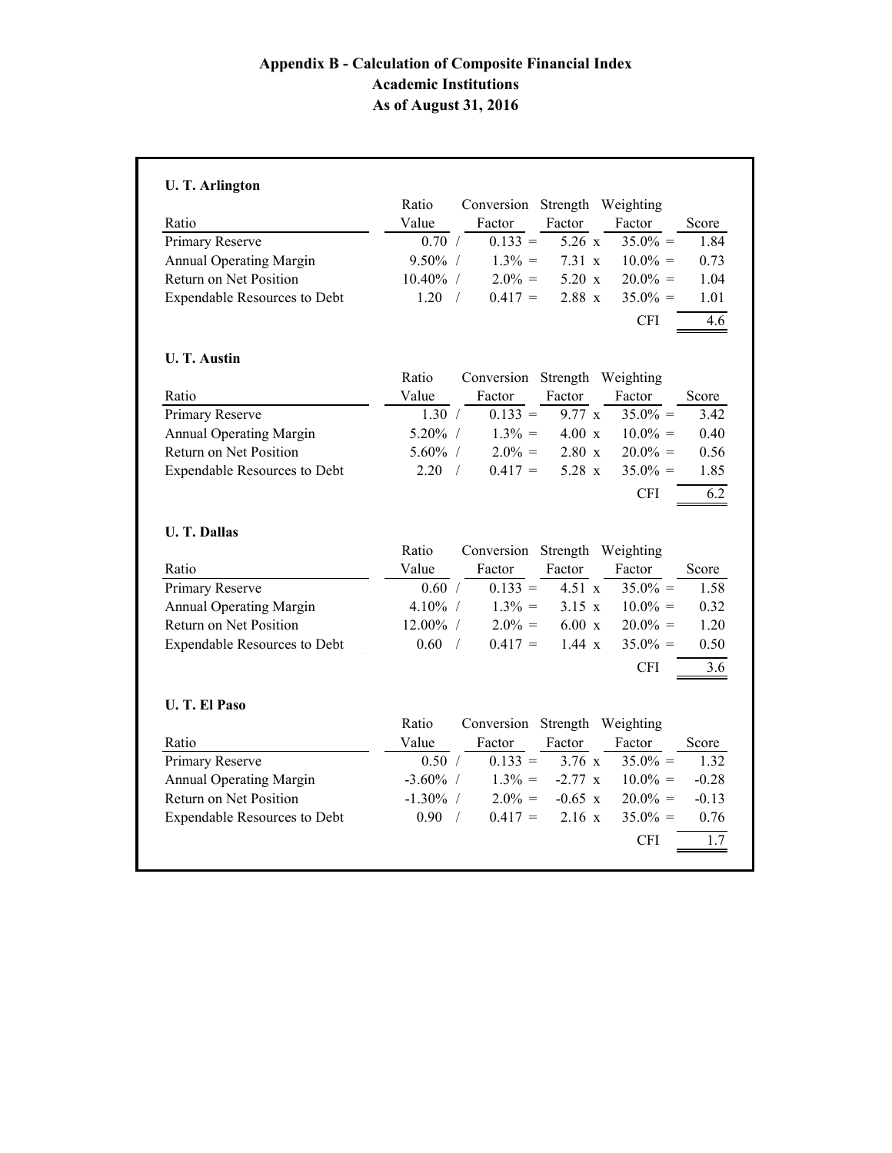# **Appendix B - Calculation of Composite Financial Index Academic Institutions As of August 31, 2016**

|                                     | Ratio              | Conversion Strength Weighting |                    |            |                                            |
|-------------------------------------|--------------------|-------------------------------|--------------------|------------|--------------------------------------------|
| Ratio                               | Value              | Factor                        | Factor             | Factor     | Score                                      |
| Primary Reserve                     | 0.70 /             | $0.133 =$                     | $5.26 \text{ x}$   | $35.0\% =$ | 1.84                                       |
| <b>Annual Operating Margin</b>      | $9.50\%$ /         | $1.3\% =$                     | $7.31 \mathrm{x}$  | $10.0\% =$ | 0.73                                       |
| Return on Net Position              | 10.40% /           | $2.0\% =$                     | $5.20 \mathrm{x}$  | $20.0\% =$ | 1.04                                       |
| <b>Expendable Resources to Debt</b> | 1.20<br>$\sqrt{2}$ | $0.417 =$                     | $2.88\text{ x}$    | $35.0\% =$ | 1.01                                       |
|                                     |                    |                               |                    | <b>CFI</b> | 4.6                                        |
| <b>U. T. Austin</b>                 |                    |                               |                    |            |                                            |
|                                     | Ratio              | Conversion Strength Weighting |                    |            |                                            |
| Ratio                               | Value              | Factor                        | Factor             | Factor     | Score                                      |
| Primary Reserve                     | 1.30 /             | $0.133 =$                     | $9.77 \times$      | $35.0\% =$ | 3.42                                       |
| <b>Annual Operating Margin</b>      | $5.20\%$ /         | $1.3\% =$                     | $4.00 \mathrm{x}$  | $10.0\% =$ | 0.40                                       |
| Return on Net Position              | $5.60\%$ /         | $2.0\% =$                     | $2.80\text{ x}$    | $20.0\% =$ | 0.56                                       |
| <b>Expendable Resources to Debt</b> | 2.20<br>$\sqrt{2}$ | $0.417 =$                     | 5.28 x             | $35.0\% =$ | 1.85                                       |
|                                     |                    |                               |                    | <b>CFI</b> | 6.2                                        |
| <b>U. T. Dallas</b>                 |                    |                               |                    |            |                                            |
|                                     | Ratio              | Conversion                    | Strength Weighting |            |                                            |
| Ratio                               | Value              | Factor                        | Factor             | Factor     | Score                                      |
| Primary Reserve                     | 0.60 /             | $0.133 =$                     | 4.51 x             | $35.0\% =$ | 1.58                                       |
| <b>Annual Operating Margin</b>      | $4.10\%$ /         | $1.3\% =$                     | $3.15 \times$      | $10.0\% =$ | 0.32                                       |
|                                     | 12.00% /           | $2.0\% =$                     | $6.00\text{ x}$    | $20.0\% =$ | 1.20                                       |
| Return on Net Position              |                    |                               |                    |            | 0.50                                       |
|                                     | 0.60<br>$\sqrt{ }$ | $0.417 =$                     | $1.44 \text{ x}$   | $35.0\% =$ |                                            |
| <b>Expendable Resources to Debt</b> |                    |                               |                    | <b>CFI</b> |                                            |
| <b>U. T. El Paso</b>                |                    |                               |                    |            |                                            |
|                                     | Ratio              | Conversion                    | Strength Weighting |            |                                            |
| Ratio                               | Value              | Factor                        | Factor             | Factor     |                                            |
| Primary Reserve                     | 0.50 /             | $0.133 =$                     | 3.76 x             | $35.0\% =$ |                                            |
| <b>Annual Operating Margin</b>      | $-3.60\%$ /        | $1.3\% =$                     | $-2.77 \times$     | $10.0\% =$ |                                            |
| Return on Net Position              | $-1.30\%$ /        | $2.0\% =$                     | $-0.65$ x          | $20.0\% =$ | 3.6<br>Score<br>1.32<br>$-0.28$<br>$-0.13$ |
| <b>Expendable Resources to Debt</b> | 0.90<br>$\sqrt{ }$ | $0.417 =$                     | $2.16\ x$          | $35.0\% =$ | 0.76                                       |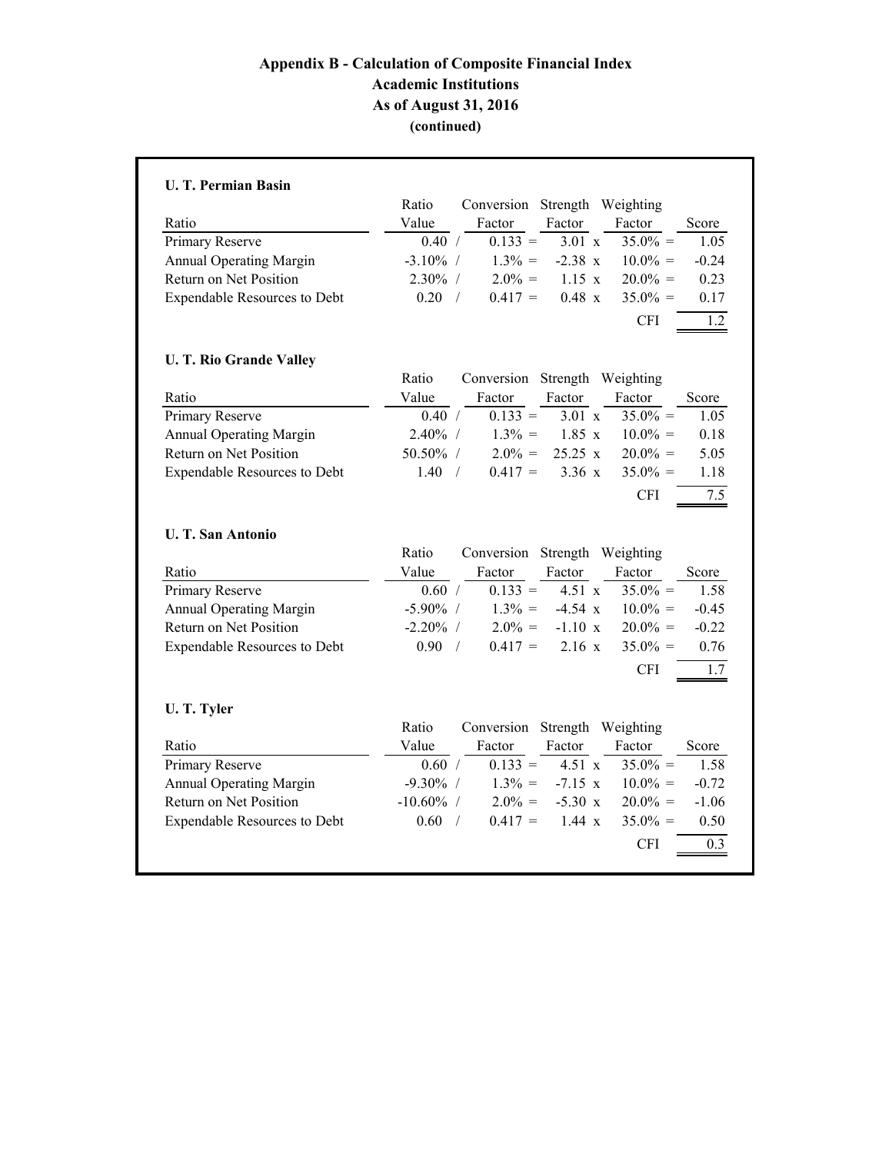# **Appendix B - Calculation of Composite Financial Index Academic Institutions As of August 31, 2016 (continued)**

|                                     | Ratio                 | Conversion                    |                   | Strength Weighting |                                                                                                   |
|-------------------------------------|-----------------------|-------------------------------|-------------------|--------------------|---------------------------------------------------------------------------------------------------|
| Ratio                               | Value                 | Factor                        | Factor            | Factor             | Score                                                                                             |
| Primary Reserve                     | 0.40 /                | $0.133 =$                     | $3.01 \mathrm{x}$ | $35.0\% =$         | 1.05                                                                                              |
| <b>Annual Operating Margin</b>      | $-3.10\%$ /           | $1.3\% =$                     | $-2.38 \times$    | $10.0\% =$         | $-0.24$                                                                                           |
| Return on Net Position              | 2.30% /               | $2.0\% =$                     | $1.15 \text{ x}$  | $20.0\% =$         | 0.23                                                                                              |
| <b>Expendable Resources to Debt</b> | 0.20<br>$\sqrt{2}$    | $0.417 =$                     | $0.48\ x$         | $35.0\% =$         | 0.17                                                                                              |
|                                     |                       |                               |                   | <b>CFI</b>         | 1.2                                                                                               |
| <b>U. T. Rio Grande Valley</b>      |                       |                               |                   |                    |                                                                                                   |
|                                     | Ratio                 | Conversion Strength Weighting |                   |                    |                                                                                                   |
| Ratio                               | Value                 | Factor                        | Factor            | Factor             | Score                                                                                             |
| Primary Reserve                     | 0.40 /                | $0.133 =$                     | $3.01 \mathrm{x}$ | $35.0\% =$         | 1.05                                                                                              |
| <b>Annual Operating Margin</b>      | $2.40\%$ /            | $1.3\% =$                     | $1.85 \mathrm{x}$ | $10.0\% =$         | 0.18                                                                                              |
| Return on Net Position              | 50.50% /              | $2.0\% =$                     | 25.25 x           | $20.0\% =$         | 5.05                                                                                              |
| <b>Expendable Resources to Debt</b> | 1.40<br>$\frac{1}{2}$ | $0.417 =$                     | $3.36 \times$     | $35.0\% =$         | 1.18                                                                                              |
|                                     |                       |                               |                   | <b>CFI</b>         | 7.5                                                                                               |
| <b>U. T. San Antonio</b>            |                       |                               |                   |                    |                                                                                                   |
|                                     | Ratio                 |                               |                   |                    |                                                                                                   |
|                                     |                       | Conversion Strength Weighting |                   |                    |                                                                                                   |
| Ratio                               | Value                 | Factor                        | Factor            | Factor             |                                                                                                   |
| Primary Reserve                     | 0.60 /                | $0.133 =$                     | $4.51 \mathrm{x}$ | $35.0\% =$         |                                                                                                   |
| <b>Annual Operating Margin</b>      | $-5.90\%$ /           | $1.3\% =$                     | $-4.54 x$         | $10.0\% =$         |                                                                                                   |
| Return on Net Position              | $-2.20\%$ /           | $2.0\% =$                     | $-1.10 x$         | $20.0\% =$         |                                                                                                   |
| <b>Expendable Resources to Debt</b> | 0.90<br>$\sqrt{ }$    | $0.417 =$                     | $2.16 \text{ x}$  | $35.0\% =$         |                                                                                                   |
|                                     |                       |                               |                   | <b>CFI</b>         |                                                                                                   |
| U. T. Tyler                         |                       |                               |                   |                    |                                                                                                   |
|                                     | Ratio                 | Conversion Strength Weighting |                   |                    |                                                                                                   |
| Ratio                               | Value                 | Factor                        | Factor            | Factor             |                                                                                                   |
| Primary Reserve                     | 0.60 /                | $0.133 =$                     | 4.51 x            | $35.0\% =$         |                                                                                                   |
| <b>Annual Operating Margin</b>      | $-9.30\%$ /           | $1.3\% =$                     | $-7.15 x$         | $10.0\% =$         |                                                                                                   |
| Return on Net Position              | $-10.60\%$ /          | $2.0\% =$                     | $-5.30 x$         | $20.0\% =$         |                                                                                                   |
| <b>Expendable Resources to Debt</b> | 0.60<br>$\sqrt{2}$    | $0.417 =$                     | $1.44 \times$     | $35.0\% =$         | Score<br>1.58<br>$-0.45$<br>$-0.22$<br>0.76<br>1.7<br>Score<br>1.58<br>$-0.72$<br>$-1.06$<br>0.50 |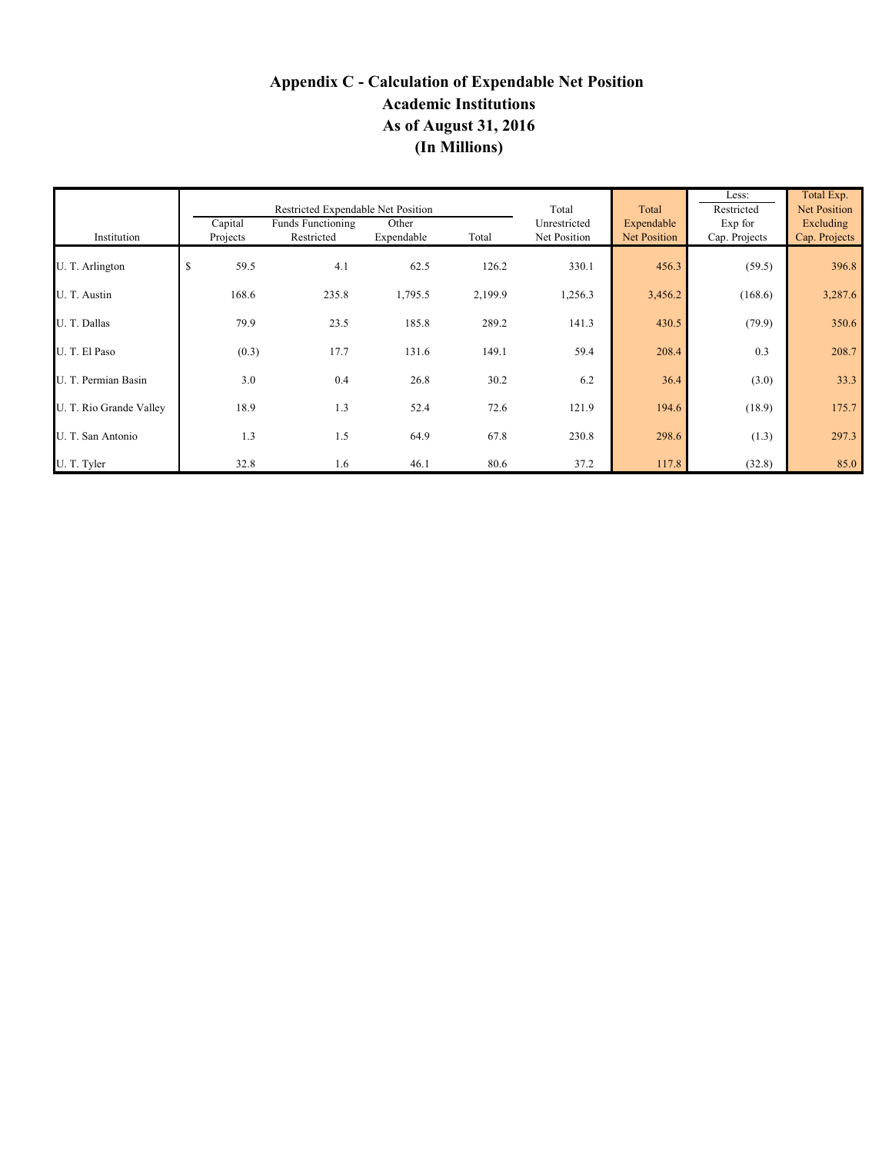# **Appendix C - Calculation of Expendable Net Position Academic Institutions As of August 31, 2016 (In Millions)**

|                         |                     | Restricted Expendable Net Position     |                     |         | Total                        | Total                      | Less:<br>Restricted      | Total Exp.<br><b>Net Position</b> |  |
|-------------------------|---------------------|----------------------------------------|---------------------|---------|------------------------------|----------------------------|--------------------------|-----------------------------------|--|
| Institution             | Capital<br>Projects | <b>Funds Functioning</b><br>Restricted | Other<br>Expendable | Total   | Unrestricted<br>Net Position | Expendable<br>Net Position | Exp for<br>Cap. Projects | Excluding<br>Cap. Projects        |  |
| U. T. Arlington         | \$<br>59.5          | 4.1                                    | 62.5                | 126.2   | 330.1                        | 456.3                      | (59.5)                   | 396.8                             |  |
| U. T. Austin            | 168.6               | 235.8                                  | 1,795.5             | 2,199.9 | 1,256.3                      | 3,456.2                    | (168.6)                  | 3,287.6                           |  |
| U. T. Dallas            | 79.9                | 23.5                                   | 185.8               | 289.2   | 141.3                        | 430.5                      | (79.9)                   | 350.6                             |  |
| U. T. El Paso           | (0.3)               | 17.7                                   | 131.6               | 149.1   | 59.4                         | 208.4                      | 0.3                      | 208.7                             |  |
| U. T. Permian Basin     | 3.0                 | 0.4                                    | 26.8                | 30.2    | 6.2                          | 36.4                       | (3.0)                    | 33.3                              |  |
| U. T. Rio Grande Valley | 18.9                | 1.3                                    | 52.4                | 72.6    | 121.9                        | 194.6                      | (18.9)                   | 175.7                             |  |
| U. T. San Antonio       | 1.3                 | 1.5                                    | 64.9                | 67.8    | 230.8                        | 298.6                      | (1.3)                    | 297.3                             |  |
| U. T. Tyler             | 32.8                | 1.6                                    | 46.1                | 80.6    | 37.2                         | 117.8                      | (32.8)                   | 85.0                              |  |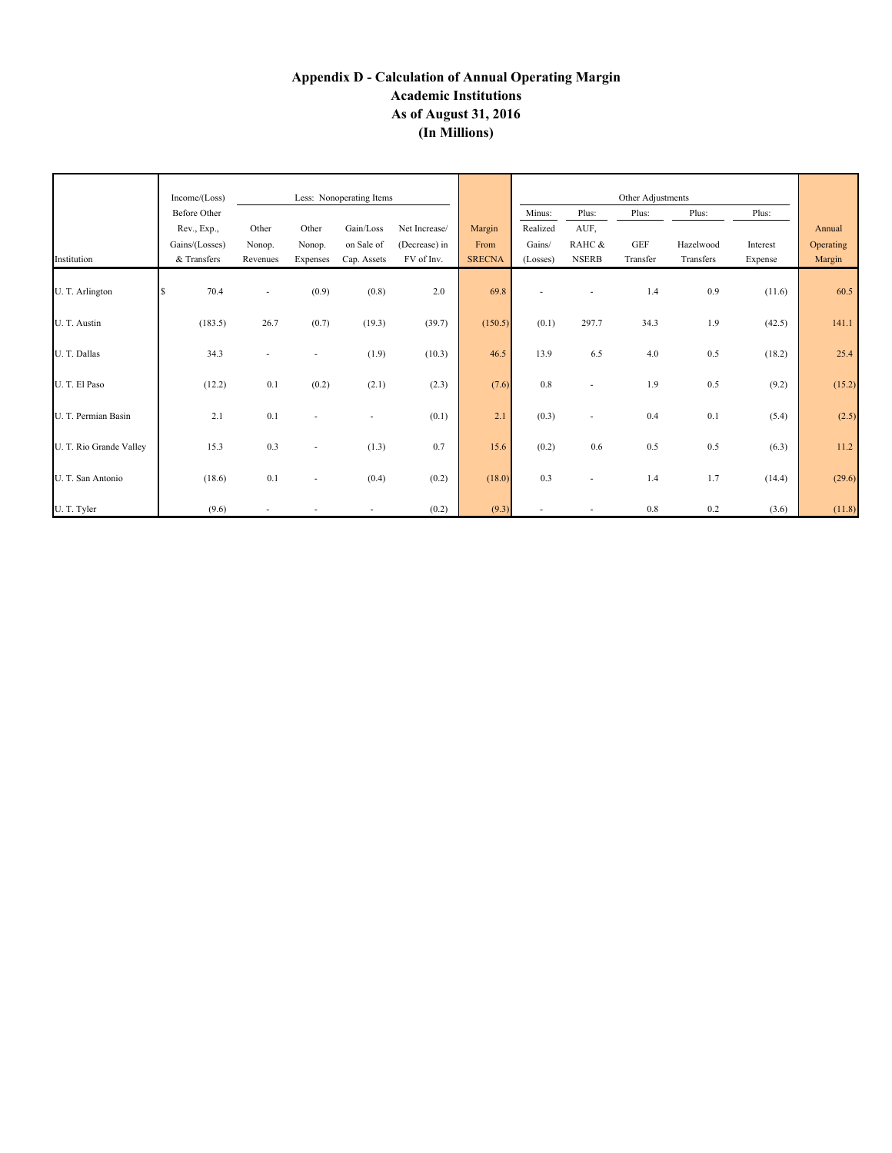# **Appendix D - Calculation of Annual Operating Margin Academic Institutions As of August 31, 2016 (In Millions)**

|                         | Income/(Loss)<br>Less: Nonoperating Items |          |                          |             |               |               | Other Adjustments |                          |            |           |          |           |
|-------------------------|-------------------------------------------|----------|--------------------------|-------------|---------------|---------------|-------------------|--------------------------|------------|-----------|----------|-----------|
|                         | <b>Before Other</b>                       |          |                          |             |               |               | Minus:            | Plus:                    | Plus:      | Plus:     | Plus:    |           |
|                         | Rev., Exp.,                               | Other    | Other                    | Gain/Loss   | Net Increase/ | Margin        | Realized          | AUF,                     |            |           |          | Annual    |
|                         | Gains/(Losses)                            | Nonop.   | Nonop.                   | on Sale of  | (Decrease) in | From          | Gains/            | RAHC &                   | <b>GEF</b> | Hazelwood | Interest | Operating |
| Institution             | & Transfers                               | Revenues | Expenses                 | Cap. Assets | FV of Inv.    | <b>SRECNA</b> | (Losses)          | <b>NSERB</b>             | Transfer   | Transfers | Expense  | Margin    |
|                         |                                           |          |                          |             |               |               |                   |                          |            |           |          |           |
| U. T. Arlington         | 70.4<br>\$.                               | $\sim$   | (0.9)                    | (0.8)       | 2.0           | 69.8          |                   | $\sim$                   | 1.4        | 0.9       | (11.6)   | 60.5      |
| U. T. Austin            | (183.5)                                   | 26.7     | (0.7)                    | (19.3)      | (39.7)        | (150.5)       | (0.1)             | 297.7                    | 34.3       | 1.9       | (42.5)   | 141.1     |
| U. T. Dallas            | 34.3                                      |          |                          | (1.9)       | (10.3)        | 46.5          | 13.9              | 6.5                      | 4.0        | 0.5       | (18.2)   | 25.4      |
| U. T. El Paso           | (12.2)                                    | 0.1      | (0.2)                    | (2.1)       | (2.3)         | (7.6)         | 0.8               | $\sim$                   | 1.9        | 0.5       | (9.2)    | (15.2)    |
| U. T. Permian Basin     | 2.1                                       | 0.1      | ۰                        |             | (0.1)         | 2.1           | (0.3)             | $\overline{\phantom{a}}$ | 0.4        | 0.1       | (5.4)    | (2.5)     |
| U. T. Rio Grande Valley | 15.3                                      | 0.3      | ٠                        | (1.3)       | 0.7           | 15.6          | (0.2)             | 0.6                      | 0.5        | 0.5       | (6.3)    | 11.2      |
| U. T. San Antonio       | (18.6)                                    | 0.1      | $\overline{\phantom{a}}$ | (0.4)       | (0.2)         | (18.0)        | 0.3               | $\overline{\phantom{a}}$ | 1.4        | 1.7       | (14.4)   | (29.6)    |
| U. T. Tyler             | (9.6)                                     |          |                          |             | (0.2)         | (9.3)         |                   |                          | $0.8\,$    | 0.2       | (3.6)    | (11.8)    |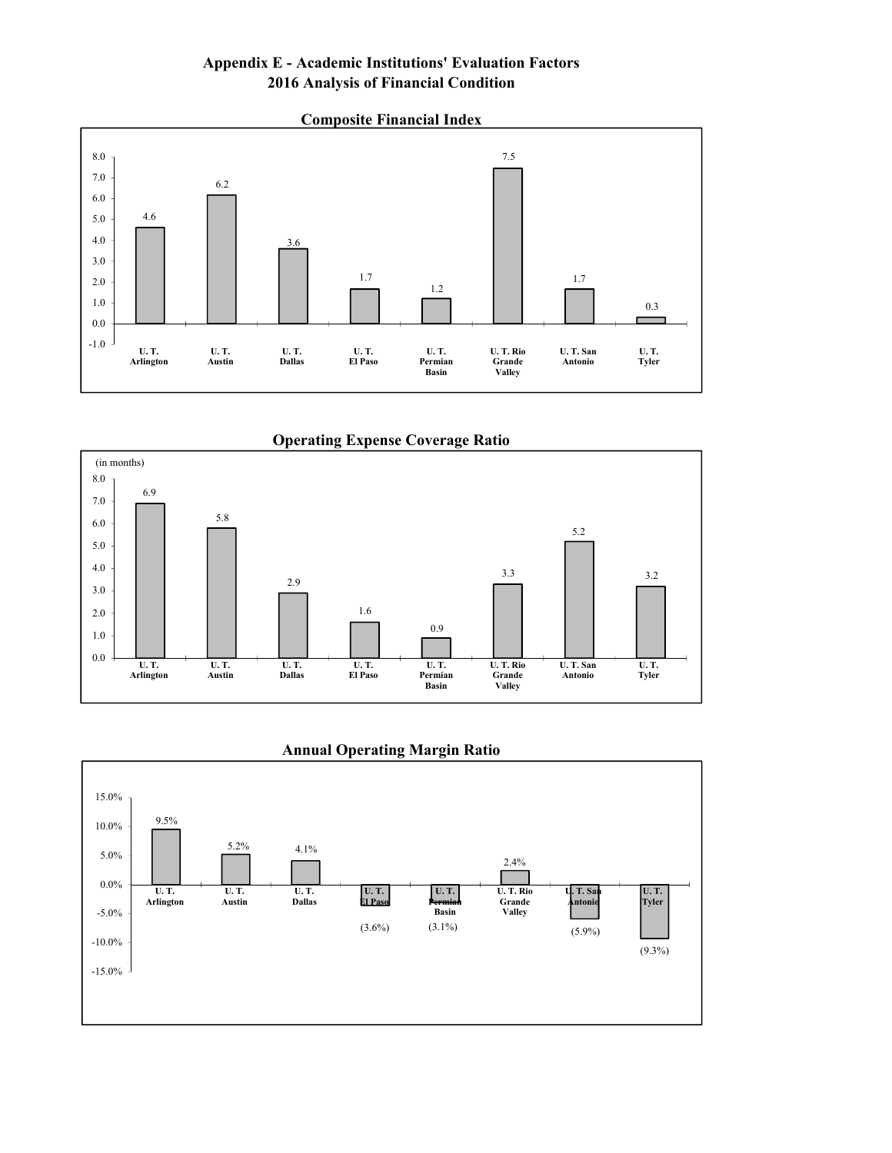# **Appendix E - Academic Institutions' Evaluation Factors 2016 Analysis of Financial Condition**



**Operating Expense Coverage Ratio**





#### **Annual Operating Margin Ratio**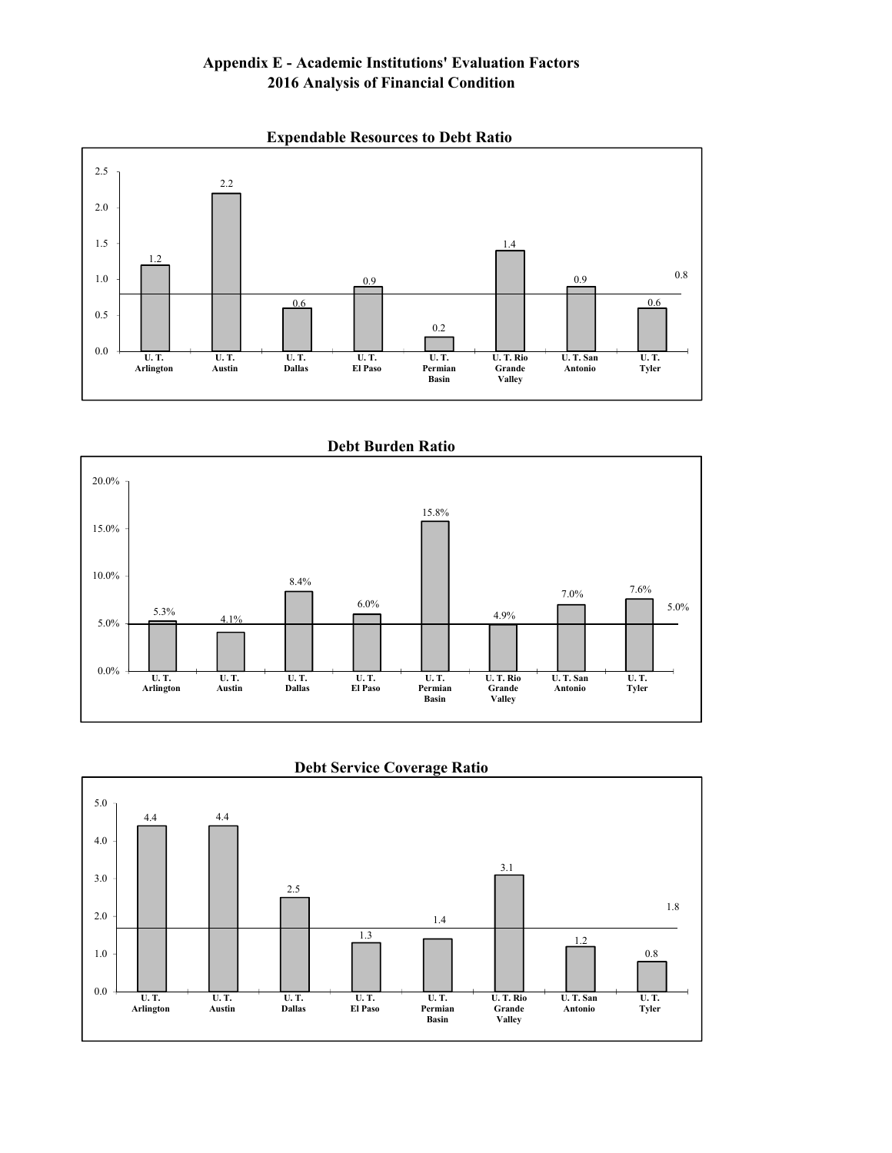# **Appendix E - Academic Institutions' Evaluation Factors 2016 Analysis of Financial Condition**